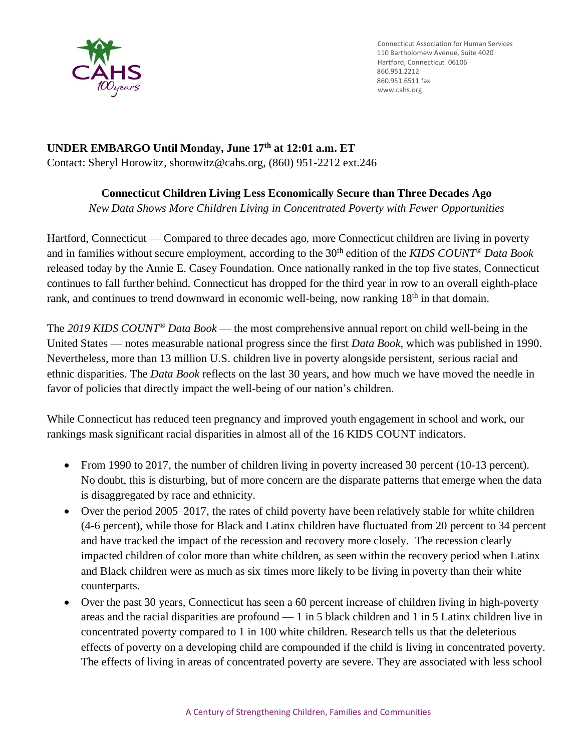

Connecticut Association for Human Services 110 Bartholomew Avenue, Suite 4020 Hartford, Connecticut 06106 860.951.6511 fax [www.cahs.org](http://www.cahs.org/)

# **UNDER EMBARGO Until Monday, June 17th at 12:01 a.m. ET** Contact: Sheryl Horowitz, shorowitz@cahs.org, (860) 951-2212 ext.246

## **Connecticut Children Living Less Economically Secure than Three Decades Ago**

*New Data Shows More Children Living in Concentrated Poverty with Fewer Opportunities*

Hartford, Connecticut — Compared to three decades ago, more Connecticut children are living in poverty and in families without secure employment, according to the 30th edition of the *KIDS COUNT® Data Book* released today by the Annie E. Casey Foundation. Once nationally ranked in the top five states, Connecticut continues to fall further behind. Connecticut has dropped for the third year in row to an overall eighth-place rank, and continues to trend downward in economic well-being, now ranking 18<sup>th</sup> in that domain.

The *2019 KIDS COUNT® Data Book* — the most comprehensive annual report on child well-being in the United States — notes measurable national progress since the first *Data Book*, which was published in 1990. Nevertheless, more than 13 million U.S. children live in poverty alongside persistent, serious racial and ethnic disparities. The *Data Book* reflects on the last 30 years, and how much we have moved the needle in favor of policies that directly impact the well-being of our nation's children.

While Connecticut has reduced teen pregnancy and improved youth engagement in school and work, our rankings mask significant racial disparities in almost all of the 16 KIDS COUNT indicators.

- From 1990 to 2017, the number of children living in poverty increased 30 percent (10-13 percent). No doubt, this is disturbing, but of more concern are the disparate patterns that emerge when the data is disaggregated by race and ethnicity.
- Over the period 2005–2017, the rates of child poverty have been relatively stable for white children (4-6 percent), while those for Black and Latinx children have fluctuated from 20 percent to 34 percent and have tracked the impact of the recession and recovery more closely. The recession clearly impacted children of color more than white children, as seen within the recovery period when Latinx and Black children were as much as six times more likely to be living in poverty than their white counterparts.
- Over the past 30 years, Connecticut has seen a 60 percent increase of children living in high-poverty areas and the racial disparities are profound — 1 in 5 black children and 1 in 5 Latinx children live in concentrated poverty compared to 1 in 100 white children. Research tells us that the deleterious effects of poverty on a developing child are compounded if the child is living in concentrated poverty. The effects of living in areas of concentrated poverty are severe. They are associated with less school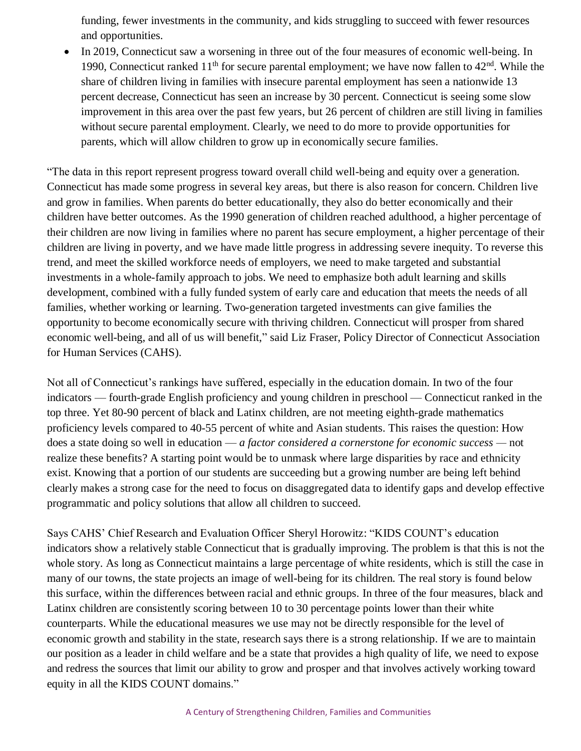funding, fewer investments in the community, and kids struggling to succeed with fewer resources and opportunities.

• In 2019, Connecticut saw a worsening in three out of the four measures of economic well-being. In 1990, Connecticut ranked 11<sup>th</sup> for secure parental employment; we have now fallen to 42<sup>nd</sup>. While the share of children living in families with insecure parental employment has seen a nationwide 13 percent decrease, Connecticut has seen an increase by 30 percent. Connecticut is seeing some slow improvement in this area over the past few years, but 26 percent of children are still living in families without secure parental employment. Clearly, we need to do more to provide opportunities for parents, which will allow children to grow up in economically secure families.

"The data in this report represent progress toward overall child well-being and equity over a generation. Connecticut has made some progress in several key areas, but there is also reason for concern. Children live and grow in families. When parents do better educationally, they also do better economically and their children have better outcomes. As the 1990 generation of children reached adulthood, a higher percentage of their children are now living in families where no parent has secure employment, a higher percentage of their children are living in poverty, and we have made little progress in addressing severe inequity. To reverse this trend, and meet the skilled workforce needs of employers, we need to make targeted and substantial investments in a whole-family approach to jobs. We need to emphasize both adult learning and skills development, combined with a fully funded system of early care and education that meets the needs of all families, whether working or learning. Two-generation targeted investments can give families the opportunity to become economically secure with thriving children. Connecticut will prosper from shared economic well-being, and all of us will benefit," said Liz Fraser, Policy Director of Connecticut Association for Human Services (CAHS).

Not all of Connecticut's rankings have suffered, especially in the education domain. In two of the four indicators — fourth-grade English proficiency and young children in preschool — Connecticut ranked in the top three. Yet 80-90 percent of black and Latinx children, are not meeting eighth-grade mathematics proficiency levels compared to 40-55 percent of white and Asian students. This raises the question: How does a state doing so well in education — *a factor considered a cornerstone for economic success —* not realize these benefits? A starting point would be to unmask where large disparities by race and ethnicity exist. Knowing that a portion of our students are succeeding but a growing number are being left behind clearly makes a strong case for the need to focus on disaggregated data to identify gaps and develop effective programmatic and policy solutions that allow all children to succeed.

Says CAHS' Chief Research and Evaluation Officer Sheryl Horowitz: "KIDS COUNT's education indicators show a relatively stable Connecticut that is gradually improving. The problem is that this is not the whole story. As long as Connecticut maintains a large percentage of white residents, which is still the case in many of our towns, the state projects an image of well-being for its children. The real story is found below this surface, within the differences between racial and ethnic groups. In three of the four measures, black and Latinx children are consistently scoring between 10 to 30 percentage points lower than their white counterparts. While the educational measures we use may not be directly responsible for the level of economic growth and stability in the state, research says there is a strong relationship. If we are to maintain our position as a leader in child welfare and be a state that provides a high quality of life, we need to expose and redress the sources that limit our ability to grow and prosper and that involves actively working toward equity in all the KIDS COUNT domains."